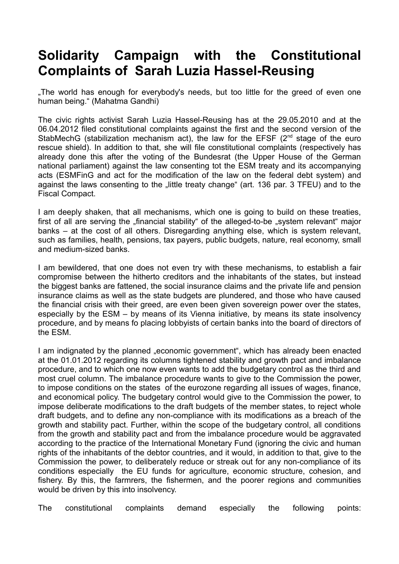## **Solidarity Campaign with the Constitutional Complaints of Sarah Luzia Hassel-Reusing**

.The world has enough for everybody's needs, but too little for the greed of even one human being." (Mahatma Gandhi)

The civic rights activist Sarah Luzia Hassel-Reusing has at the 29.05.2010 and at the 06.04.2012 filed constitutional complaints against the first and the second version of the StabMechG (stabilization mechanism act), the law for the EFSF  $(2<sup>nd</sup>$  stage of the euro rescue shield). In addition to that, she will file constitutional complaints (respectively has already done this after the voting of the Bundesrat (the Upper House of the German national parliament) against the law consenting tot the ESM treaty and its accompanying acts (ESMFinG and act for the modification of the law on the federal debt system) and against the laws consenting to the "little treaty change" (art. 136 par. 3 TFEU) and to the Fiscal Compact.

I am deeply shaken, that all mechanisms, which one is going to build on these treaties, first of all are serving the "financial stability" of the alleged-to-be "system relevant" major banks – at the cost of all others. Disregarding anything else, which is system relevant, such as families, health, pensions, tax payers, public budgets, nature, real economy, small and medium-sized banks.

I am bewildered, that one does not even try with these mechanisms, to establish a fair compromise between the hitherto creditors and the inhabitants of the states, but instead the biggest banks are fattened, the social insurance claims and the private life and pension insurance claims as well as the state budgets are plundered, and those who have caused the financial crisis with their greed, are even been given sovereign power over the states, especially by the ESM – by means of its Vienna initiative, by means its state insolvency procedure, and by means fo placing lobbyists of certain banks into the board of directors of the ESM.

I am indignated by the planned "economic government", which has already been enacted at the 01.01.2012 regarding its columns tightened stability and growth pact and imbalance procedure, and to which one now even wants to add the budgetary control as the third and most cruel column. The imbalance procedure wants to give to the Commission the power, to impose conditions on the states of the eurozone regarding all issues of wages, finance, and economical policy. The budgetary control would give to the Commission the power, to impose deliberate modifications to the draft budgets of the member states, to reject whole draft budgets, and to define any non-compliance with its modifications as a breach of the growth and stability pact. Further, within the scope of the budgetary control, all conditions from the growth and stability pact and from the imbalance procedure would be aggravated according to the practice of the International Monetary Fund (ignoring the civic and human rights of the inhabitants of the debtor countries, and it would, in addition to that, give to the Commission the power, to deliberately reduce or streak out for any non-compliance of its conditions especially the EU funds for agriculture, economic structure, cohesion, and fishery. By this, the farmrers, the fishermen, and the poorer regions and communities would be driven by this into insolvency.

The constitutional complaints demand especially the following points: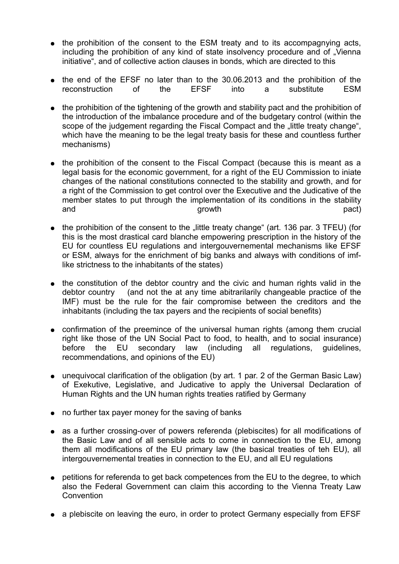- the prohibition of the consent to the ESM treaty and to its accompagnying acts, including the prohibition of any kind of state insolvency procedure and of "Vienna initiative", and of collective action clauses in bonds, which are directed to this
- the end of the EFSF no later than to the 30.06.2013 and the prohibition of the reconstruction of the EFSF into a substitute ESM
- the prohibition of the tightening of the growth and stability pact and the prohibition of the introduction of the imbalance procedure and of the budgetary control (within the scope of the judgement regarding the Fiscal Compact and the "little treaty change", which have the meaning to be the legal treaty basis for these and countless further mechanisms)
- the prohibition of the consent to the Fiscal Compact (because this is meant as a legal basis for the economic government, for a right of the EU Commission to iniate changes of the national constitutions connected to the stability and growth, and for a right of the Commission to get control over the Executive and the Judicative of the member states to put through the implementation of its conditions in the stability and and pact) and pact of the series of the series of the series of the pact of the pact of the pact of the series of the series of the series of the series of the series of the series of the series of the series of the se
- the prohibition of the consent to the "little treaty change" (art. 136 par. 3 TFEU) (for this is the most drastical card blanche empowering prescription in the history of the EU for countless EU regulations and intergouvernemental mechanisms like EFSF or ESM, always for the enrichment of big banks and always with conditions of imflike strictness to the inhabitants of the states)
- the constitution of the debtor country and the civic and human rights valid in the debtor country (and not the at any time abitrarilarily changeable practice of the IMF) must be the rule for the fair compromise between the creditors and the inhabitants (including the tax payers and the recipients of social benefits)
- confirmation of the preemince of the universal human rights (among them crucial right like those of the UN Social Pact to food, to health, and to social insurance) before the EU secondary law (including all regulations, guidelines, recommendations, and opinions of the EU)
- unequivocal clarification of the obligation (by art. 1 par. 2 of the German Basic Law) of Exekutive, Legislative, and Judicative to apply the Universal Declaration of Human Rights and the UN human rights treaties ratified by Germany
- no further tax payer money for the saving of banks
- as a further crossing-over of powers referenda (plebiscites) for all modifications of the Basic Law and of all sensible acts to come in connection to the EU, among them all modifications of the EU primary law (the basical treaties of teh EU), all intergouvernemental treaties in connection to the EU, and all EU regulations
- petitions for referenda to get back competences from the EU to the degree, to which also the Federal Government can claim this according to the Vienna Treaty Law **Convention**
- a plebiscite on leaving the euro, in order to protect Germany especially from EFSF